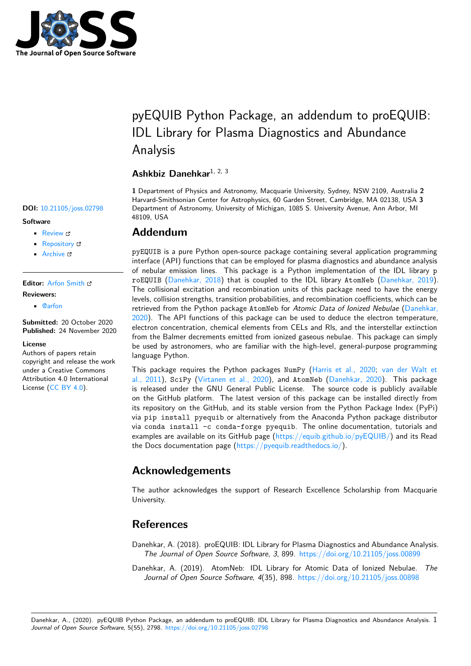

# pyEQUIB Python Package, an addendum to proEQUIB: IDL Library for Plasma Diagnostics and Abundance Analysis

### **Ashkbiz Danehkar**1, 2, 3

**1** Department of Physics and Astronomy, Macquarie University, Sydney, NSW 2109, Australia **2** Harvard-Smithsonian Center for Astrophysics, 60 Garden Street, Cambridge, MA 02138, USA **3** Department of Astronomy, University of Michigan, 1085 S. University Avenue, Ann Arbor, MI 48109, USA

### **Addendum**

pyEQUIB is a pure Python open-source package containing several application programming interface (API) functions that can be employed for plasma diagnostics and abundance analysis of nebular emission lines. This package is a Python implementation of the IDL library p roEQUIB (Danehkar, 2018) that is coupled to the IDL library AtomNeb (Danehkar, 2019). The collisional excitation and recombination units of this package need to have the energy levels, collision strengths, transition probabilities, and recombination coefficients, which can be retrieved from the Python package AtomNeb for *Atomic Data of Ionized Nebulae* (Danehkar, 2020). Th[e API functions](#page-0-0) of this package can be used to deduce the elec[tron temperature](#page-0-1), electron concentration, chemical elements from CELs and Rls, and the interstellar extinction from the Balmer decrements emitted from ionized gaseous nebulae. This package can simply be used by astronomers, who are familiar with the high-level, general-purpose pro[gramming](#page-1-0) [langu](#page-1-0)age Python.

This package requires the Python packages NumPy (Harris et al., 2020; van der Walt et al., 2011), SciPy (Virtanen et al., 2020), and AtomNeb (Danehkar, 2020). This package is released under the GNU General Public License. The source code is publicly available on the GitHub platform. The latest version of this package can be installed directly from its repository on the GitHub, and its stable version fr[om the Python Pac](#page-1-1)k[age Index \(PyPi\)](#page-1-2) via [pip i](#page-1-2)nstall pyequib [or alternative](#page-1-3)ly from the Anac[onda Python pac](#page-1-0)kage distributor via conda install -c conda-forge pyequib. The online documentation, tutorials and examples are available on its GitHub page  $(https://equib.github.io/pyEQUB/)$  and its Read the Docs documentation page (https://pyequib.readthedocs.io/).

## **Acknowledgements**

The author acknowledges the [support of Research Excellence](https://pyequib.readthedocs.io/) Scholarship from Macquarie University.

### **References**

Danehkar, A. (2018). proEQUIB: IDL Library for Plasma Diagnostics and Abundance Analysis. *The Journal of Open Source Software*, *3*, 899. https://doi.org/10.21105/joss.00899

<span id="page-0-1"></span><span id="page-0-0"></span>Danehkar, A. (2019). AtomNeb: IDL Library for Atomic Data of Ionized Nebulae. *The Journal of Open Source Software*, *4*(35), 898. https://doi.org/10.21105/joss.00898

#### **DOI:** 10.21105/joss.02798

#### **Software**

- Review C
- [Repository](https://doi.org/10.21105/joss.02798) &
- Archive

### **Editor:** [Arfon Sm](https://github.com/equib/pyEQUIB)ith **Revie[wers:](https://doi.org/10.5281/zenodo.4287576)**

• @arfon

**Submitted:** [20 Octo](http://arfon.org/)ber 2020 **Published:** 24 November 2020

#### **Licen[se](https://github.com/arfon)**

Authors of papers retain copyright and release the work under a Creative Commons Attribution 4.0 International License (CC BY 4.0).